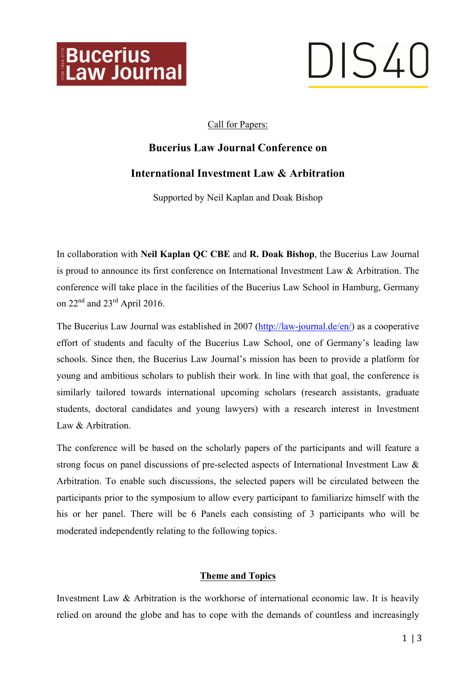

# DIS40

### Call for Papers:

# **Bucerius Law Journal Conference on**

## **International Investment Law & Arbitration**

Supported by Neil Kaplan and Doak Bishop

In collaboration with **Neil Kaplan QC CBE** and **R. Doak Bishop**, the Bucerius Law Journal is proud to announce its first conference on International Investment Law & Arbitration. The conference will take place in the facilities of the Bucerius Law School in Hamburg, Germany on  $22<sup>nd</sup>$  and  $23<sup>rd</sup>$  April 2016.

The Bucerius Law Journal was established in 2007 (http://law-journal.de/en/) as a cooperative effort of students and faculty of the Bucerius Law School, one of Germany's leading law schools. Since then, the Bucerius Law Journal's mission has been to provide a platform for young and ambitious scholars to publish their work. In line with that goal, the conference is similarly tailored towards international upcoming scholars (research assistants, graduate students, doctoral candidates and young lawyers) with a research interest in Investment Law & Arbitration

The conference will be based on the scholarly papers of the participants and will feature a strong focus on panel discussions of pre-selected aspects of International Investment Law & Arbitration. To enable such discussions, the selected papers will be circulated between the participants prior to the symposium to allow every participant to familiarize himself with the his or her panel. There will be 6 Panels each consisting of 3 participants who will be moderated independently relating to the following topics.

#### **Theme and Topics**

Investment Law & Arbitration is the workhorse of international economic law. It is heavily relied on around the globe and has to cope with the demands of countless and increasingly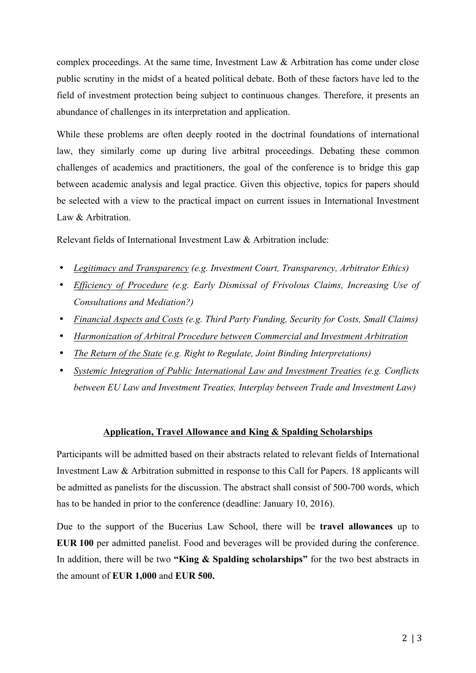complex proceedings. At the same time, Investment Law & Arbitration has come under close public scrutiny in the midst of a heated political debate. Both of these factors have led to the field of investment protection being subject to continuous changes. Therefore, it presents an abundance of challenges in its interpretation and application.

While these problems are often deeply rooted in the doctrinal foundations of international law, they similarly come up during live arbitral proceedings. Debating these common challenges of academics and practitioners, the goal of the conference is to bridge this gap between academic analysis and legal practice. Given this objective, topics for papers should be selected with a view to the practical impact on current issues in International Investment Law & Arbitration.

Relevant fields of International Investment Law & Arbitration include:

- *Legitimacy and Transparency (e.g. Investment Court, Transparency, Arbitrator Ethics)*
- *Efficiency of Procedure (e.g. Early Dismissal of Frivolous Claims, Increasing Use of Consultations and Mediation?)*
- *Financial Aspects and Costs (e.g. Third Party Funding, Security for Costs, Small Claims)*
- *Harmonization of Arbitral Procedure between Commercial and Investment Arbitration*
- *The Return of the State (e.g. Right to Regulate, Joint Binding Interpretations)*
- *Systemic Integration of Public International Law and Investment Treaties (e.g. Conflicts between EU Law and Investment Treaties, Interplay between Trade and Investment Law)*

#### **Application, Travel Allowance and King & Spalding Scholarships**

Participants will be admitted based on their abstracts related to relevant fields of International Investment Law & Arbitration submitted in response to this Call for Papers. 18 applicants will be admitted as panelists for the discussion. The abstract shall consist of 500-700 words, which has to be handed in prior to the conference (deadline: January 10, 2016).

Due to the support of the Bucerius Law School, there will be **travel allowances** up to **EUR 100** per admitted panelist. Food and beverages will be provided during the conference. In addition, there will be two **"King & Spalding scholarships"** for the two best abstracts in the amount of **EUR 1,000** and **EUR 500.**